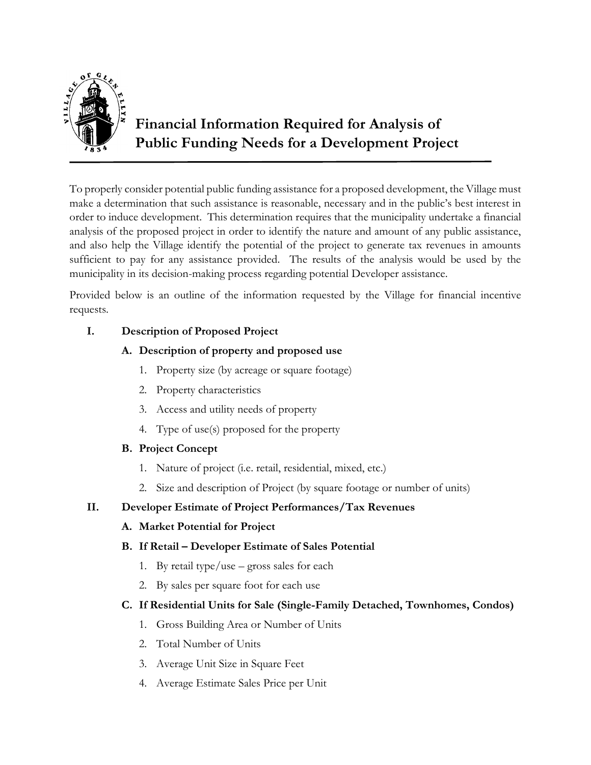

## **Financial Information Required for Analysis of Public Funding Needs for a Development Project**

To properly consider potential public funding assistance for a proposed development, the Village must make a determination that such assistance is reasonable, necessary and in the public's best interest in order to induce development. This determination requires that the municipality undertake a financial analysis of the proposed project in order to identify the nature and amount of any public assistance, and also help the Village identify the potential of the project to generate tax revenues in amounts sufficient to pay for any assistance provided. The results of the analysis would be used by the municipality in its decision-making process regarding potential Developer assistance.

Provided below is an outline of the information requested by the Village for financial incentive requests.

## **I. Description of Proposed Project**

## **A. Description of property and proposed use**

- 1. Property size (by acreage or square footage)
- 2. Property characteristics
- 3. Access and utility needs of property
- 4. Type of use(s) proposed for the property

## **B. Project Concept**

- 1. Nature of project (i.e. retail, residential, mixed, etc.)
- 2. Size and description of Project (by square footage or number of units)

## **II. Developer Estimate of Project Performances/Tax Revenues**

## **A. Market Potential for Project**

## **B. If Retail – Developer Estimate of Sales Potential**

- 1. By retail type/use gross sales for each
- 2. By sales per square foot for each use

## **C. If Residential Units for Sale (Single-Family Detached, Townhomes, Condos)**

- 1. Gross Building Area or Number of Units
- 2. Total Number of Units
- 3. Average Unit Size in Square Feet
- 4. Average Estimate Sales Price per Unit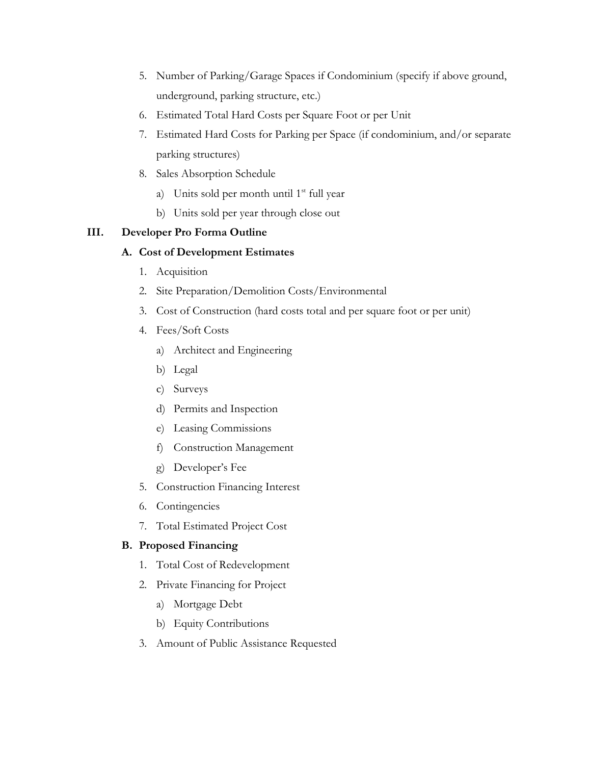- 5. Number of Parking/Garage Spaces if Condominium (specify if above ground, underground, parking structure, etc.)
- 6. Estimated Total Hard Costs per Square Foot or per Unit
- 7. Estimated Hard Costs for Parking per Space (if condominium, and/or separate parking structures)
- 8. Sales Absorption Schedule
	- a) Units sold per month until  $1<sup>st</sup>$  full year
	- b) Units sold per year through close out

### **III. Developer Pro Forma Outline**

### **A. Cost of Development Estimates**

- 1. Acquisition
- 2. Site Preparation/Demolition Costs/Environmental
- 3. Cost of Construction (hard costs total and per square foot or per unit)
- 4. Fees/Soft Costs
	- a) Architect and Engineering
	- b) Legal
	- c) Surveys
	- d) Permits and Inspection
	- e) Leasing Commissions
	- f) Construction Management
	- g) Developer's Fee
- 5. Construction Financing Interest
- 6. Contingencies
- 7. Total Estimated Project Cost

## **B. Proposed Financing**

- 1. Total Cost of Redevelopment
- 2. Private Financing for Project
	- a) Mortgage Debt
	- b) Equity Contributions
- 3. Amount of Public Assistance Requested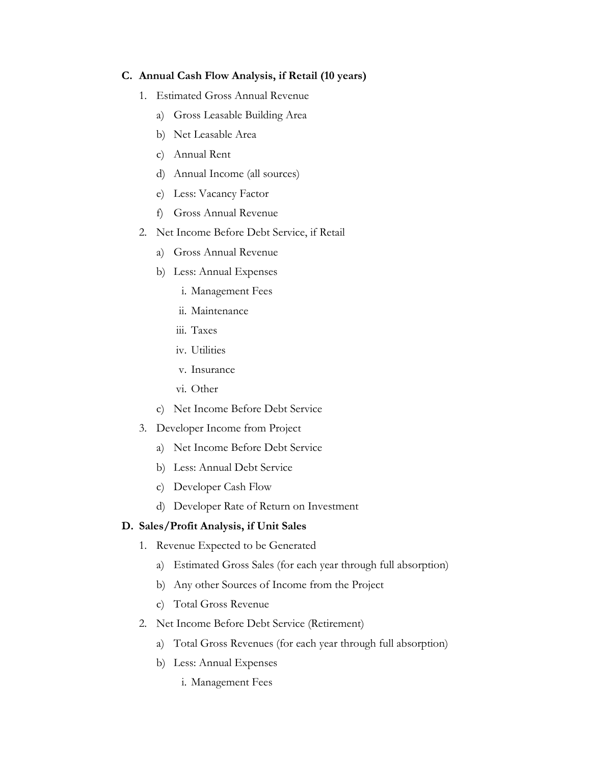#### **C. Annual Cash Flow Analysis, if Retail (10 years)**

- 1. Estimated Gross Annual Revenue
	- a) Gross Leasable Building Area
	- b) Net Leasable Area
	- c) Annual Rent
	- d) Annual Income (all sources)
	- e) Less: Vacancy Factor
	- f) Gross Annual Revenue
- 2. Net Income Before Debt Service, if Retail
	- a) Gross Annual Revenue
	- b) Less: Annual Expenses
		- i. Management Fees
		- ii. Maintenance
		- iii. Taxes
		- iv. Utilities
		- v. Insurance
		- vi. Other
	- c) Net Income Before Debt Service
- 3. Developer Income from Project
	- a) Net Income Before Debt Service
	- b) Less: Annual Debt Service
	- c) Developer Cash Flow
	- d) Developer Rate of Return on Investment

#### **D. Sales/Profit Analysis, if Unit Sales**

- 1. Revenue Expected to be Generated
	- a) Estimated Gross Sales (for each year through full absorption)
	- b) Any other Sources of Income from the Project
	- c) Total Gross Revenue
- 2. Net Income Before Debt Service (Retirement)
	- a) Total Gross Revenues (for each year through full absorption)
	- b) Less: Annual Expenses
		- i. Management Fees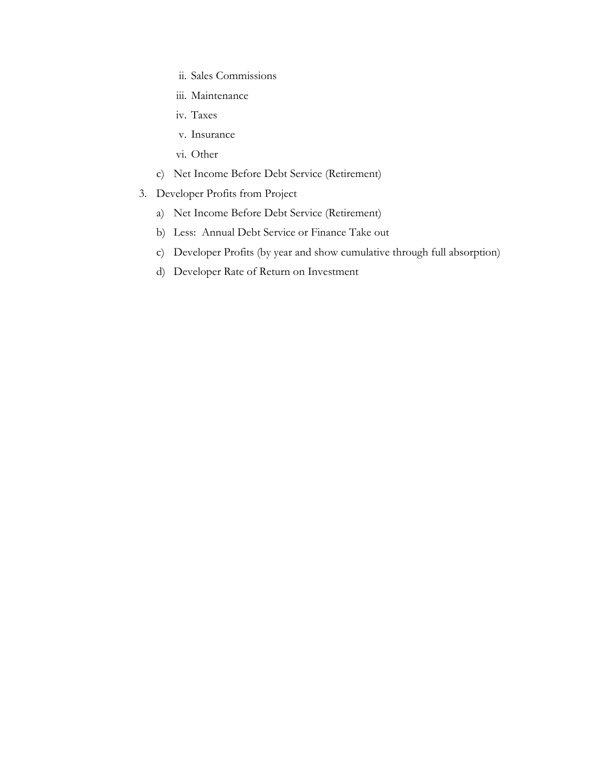- ii. Sales Commissions
- iii. Maintenance
- iv. Taxes
- v. Insurance
- vi. Other
- c) Net Income Before Debt Service (Retirement)
- 3. Developer Profits from Project
	- a) Net Income Before Debt Service (Retirement)
	- b) Less: Annual Debt Service or Finance Take out
	- c) Developer Profits (by year and show cumulative through full absorption)
	- d) Developer Rate of Return on Investment